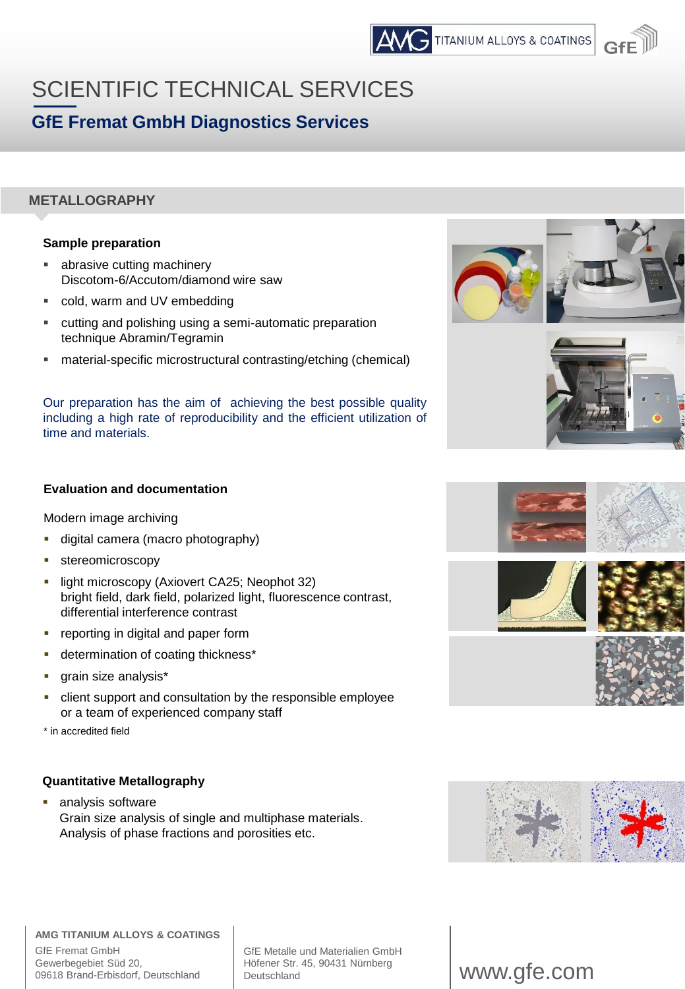

# SCIENTIFIC TECHNICAL SERVICES **GfE Fremat GmbH Diagnostics Services**

# **METALLOGRAPHY**

## **Sample preparation**

- abrasive cutting machinery Discotom-6/Accutom/diamond wire saw
- cold, warm and UV embedding
- cutting and polishing using a semi-automatic preparation technique Abramin/Tegramin
- material-specific microstructural contrasting/etching (chemical)

Our preparation has the aim of achieving the best possible quality including a high rate of reproducibility and the efficient utilization of time and materials.





## **Evaluation and documentation**

Modern image archiving

- digital camera (macro photography)
- stereomicroscopy
- light microscopy (Axiovert CA25; Neophot 32) bright field, dark field, polarized light, fluorescence contrast, differential interference contrast
- reporting in digital and paper form
- **•** determination of coating thickness\*
- grain size analysis\*
- client support and consultation by the responsible employee or a team of experienced company staff

\* in accredited field

## **Quantitative Metallography**

analysis software Grain size analysis of single and multiphase materials. Analysis of phase fractions and porosities etc.









#### **AMG TITANIUM ALLOYS & COATINGS** GfE Fremat GmbH Gewerbegebiet Süd 20, 09618 Brand-Erbisdorf, Deutschland

GfE Metalle und Materialien GmbH Höfener Str. 45, 90431 Nürnberg<br>Deutschland

# www.gfe.com